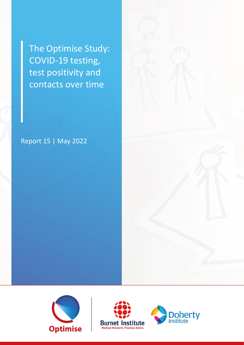The Optimise Study: COVID-19 testing, test positivity and contacts over time

Report 15 | May 2022





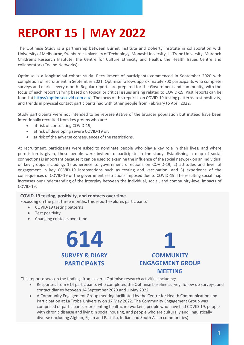# **REPORT 15 | MAY 2022**

The Optimise Study is a partnership between Burnet Institute and Doherty Institute in collaboration with University of Melbourne, Swinburne University of Technology, Monash University, La Trobe University, Murdoch Children's Research Institute, the Centre for Culture Ethnicity and Health, the Health Issues Centre and collaborators (Coelho Networks).

Optimise is a longitudinal cohort study. Recruitment of participants commenced in September 2020 with completion of recruitment in September 2021. Optimise follows approximately 700 participants who complete surveys and diaries every month. Regular reports are prepared for the Government and community, with the focus of each report varying based on topical or critical issues arising related to COVID-19. Past reports can be found at https://optimisecovid.com.au/ . The focus of this report is on COVID-19 testing patterns, test positivity, and trends in physical contact participants had with other people from February to April 2022.

Study participants were not intended to be representative of the broader population but instead have been intentionally recruited from key groups who are:

- at risk of contracting COVID-19,
- at risk of developing severe COVID-19 or,
- at risk of the adverse consequences of the restrictions.

At recruitment, participants were asked to nominate people who play a key role in their lives, and where permission is given, these people were invited to participate in the study. Establishing a map of social connections is important because it can be used to examine the influence of the social network on an individual or key groups including: 1) adherence to government directions on COVID-19; 2) attitudes and level of engagement in key COVID-19 interventions such as testing and vaccination; and 3) experience of the consequences of COVID-19 or the government restrictions imposed due to COVID-19. The resulting social map increases our understanding of the interplay between the individual, social, and community-level impacts of COVID-19.

#### **COVID-19 testing, positivity, and contacts over time**

Focussing on the past three months, this report explores participants'

- COVID-19 testing patterns
- Test positivity
- Changing contacts over time





This report draws on the findings from several Optimise research activities including:

- Responses from 614 participants who completed the Optimise baseline survey, follow up surveys, and contact diaries between 14 September 2020 and 1 May 2022.
- A Community Engagement Group meeting facilitated by the Centre for Health Communication and Participation at La Trobe University on 17 May 2022. The Community Engagement Group was comprised of participants representing healthcare workers, people who have had COVID-19, people with chronic disease and living in social housing, and people who are culturally and linguistically diverse (including Afghan, Fijian and Pasifika, Indian and South Asian communities).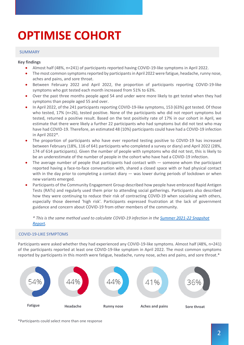# **OPTIMISE COHORT**

#### SUMMARY

#### **Key findings**

- Almost half (48%, n=241) of participants reported having COVID-19-like symptoms in April 2022.
- The most common symptoms reported by participants in April 2022 were fatigue, headache, runny nose, aches and pains, and sore throat.
- Between February 2022 and April 2022, the proportion of participants reporting COVID-19-like symptoms who got tested each month increased from 51% to 63%.
- Over the past three months people aged 54 and under were more likely to get tested when they had symptoms than people aged 55 and over.
- In April 2022, of the 241 participants reporting COVID-19-like symptoms, 153 (63%) got tested. Of those who tested, 17% (n=26), tested positive. None of the participants who did not report symptoms but tested, returned a positive result. Based on the test positivity rate of 17% in our cohort in April, we estimate that there were likely a further 22 participants who had symptoms but did not test who may have had COVID-19. Therefore, an estimated 48 (10%) participants could have had a COVID-19 infection in April 2022\*.
- The proportion of participants who have ever reported testing positive to COVID-19 has increased between February (18%, 116 of 641 participants who completed a survey or diary) and April 2022 (28%, 174 of 614 participants). Given the number of people with symptoms who did not test, this is likely to be an underestimate of the number of people in the cohort who have had a COVID-19 infection.
- The average number of people that participants had contact with  $-$  someone whom the participant reported having a face-to-face conversation with, shared a closed space with or had physical contact with in the day prior to completing a contact diary — was lower during periods of lockdown or when new variants emerged.
- Participants of the Community Engagement Group described how people have embraced Rapid Antigen Tests (RATs) and regularly used them prior to attending social gatherings. Participants also described how they were continuing to reduce their risk of contracting COVID-19 when socialising with others, especially those deemed 'high risk'. Participants expressed frustration at the lack of government guidance and concern about COVID-19 from other members of the community.

*\* This is the same method used to calculate COVID-19 infection in the Summer 2021-22 Snapshot Report.*

#### COVID-19-LIKE SYMPTOMS

Participants were asked whether they had experienced any COVID-19-like symptoms. Almost half (48%, n=241) of the participants reported at least one COVID-19-like symptom in April 2022. The most common symptoms reported by participants in this month were fatigue, headache, runny nose, aches and pains, and sore throat.\*



\*Participants could select more than one response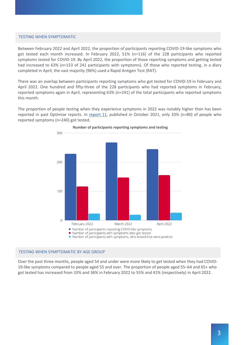#### TESTING WHEN SYMPTOMATIC

Between February 2022 and April 2022, the proportion of participants reporting COVID-19-like symptoms who got tested each month increased. In February 2022, 51% (n=116) of the 228 participants who reported symptoms tested for COVID-19. By April 2022, the proportion of those reporting symptoms and getting tested had increased to 63% (n=153 of 241 participants with symptoms). Of those who reported testing, in a diary completed in April, the vast majority (96%) used a Rapid Antigen Test (RAT).

There was an overlap between participants reporting symptoms who got tested for COVID-19 in February and April 2022. One hundred and fifty-three of the 228 participants who had reported symptoms in February, reported symptoms again in April, representing 63% (n=241) of the total participants who reported symptoms this month.

The proportion of people testing when they experience symptoms in 2022 was notably higher than has been reported in past Optimise reports. In report 11, published in October 2021, only 33% (n=80) of people who reported symptoms (n=240) got tested.



### **Number of participants reporting symptoms and testing**

#### TESTING WHEN SYMPTOMATIC BY AGE GROUP

Over the past three months, people aged 54 and under were more likely to get tested when they had COVID-19-like symptoms compared to people aged 55 and over. The proportion of people aged 55–64 and 65+ who got tested has increased from 33% and 36% in February 2022 to 55% and 41% (respectively) in April 2022.

Number of participants with symptoms, who tested that were positive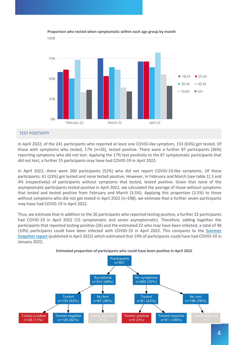

#### **Proportion who tested when symptomatic within each age group by month**

#### TEST POSITIVITY

In April 2022, of the 241 participants who reported at least one COVID-like symptom, 153 (63%) got tested. Of those with symptoms who tested, 17% (n=26), tested positive. There were a further 87 participants (36%) reporting symptoms who did not test. Applying the 17% test positivity to the 87 symptomatic participants that did not test, a further 15 participants may have had COVID-19 in April 2022.

In April 2022, there were 260 participants (52%) who did not report COVID-19-like symptoms. Of these participants, 61 (23%) got tested and none tested positive. However, in February and March (see table 1) 3 and 4% (respectively) of participants without symptoms that tested, tested positive. Given that none of the asymptomatic participants tested positive in April 2022, we calculated the average of those without symptoms that tested and tested positive from February and March (3.5%). Applying this proportion (3.5%) to those without symptoms who did not get tested in April 2022 (n=198), we estimate that a further seven participants may have had COVID-19 in April 2022.

Thus, we estimate that in addition to the 26 participants who reported testing positive, a further 22 participants had COVID-19 in April 2022 (15 symptomatic and seven asymptomatic). Therefore, adding together the participants that reported testing positive (26) and the estimated 22 who may have been infected, a total of 48 (10%) participants could have been infected with COVID-19 in April 2022. This compares to the Summer Snapshot report (published in April 2022) which estimated that 19% of participants could have had COVID-19 in January 2022.



**Estimated proportion of participants who could have been positive in April 2022**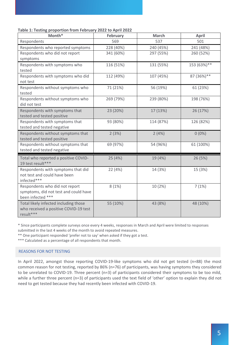| Table 1: Testing proportion from February 2022 to April 2022 |  |  |
|--------------------------------------------------------------|--|--|
|--------------------------------------------------------------|--|--|

| Month*                                                                                       | <b>February</b> | <b>March</b> | <b>April</b> |  |
|----------------------------------------------------------------------------------------------|-----------------|--------------|--------------|--|
| Respondents                                                                                  | 569             | 537          | 501          |  |
| Respondents who reported symptoms                                                            | 228 (40%)       | 240 (45%)    | 241 (48%)    |  |
| Respondents who did not report                                                               | 341 (60%)       | 297 (55%)    | 260 (52%)    |  |
| symptoms                                                                                     |                 |              |              |  |
| Respondents with symptoms who<br>tested                                                      | 116 (51%)       | 131 (55%)    | 153 (63%)**  |  |
| Respondents with symptoms who did<br>not test                                                | 112 (49%)       | 107 (45%)    | 87 (36%)**   |  |
| Respondents without symptoms who<br>tested                                                   | 71 (21%)        | 56 (19%)     | 61 (23%)     |  |
| Respondents without symptoms who<br>did not test                                             | 269 (79%)       | 239 (80%)    | 198 (76%)    |  |
| Respondents with symptoms that<br>tested and tested positive                                 | 23 (20%)        | 17 (13%)     | 26 (17%)     |  |
| Respondents with symptoms that<br>tested and tested negative                                 | 93 (80%)        | 114 (87%)    | 126 (82%)    |  |
| Respondents without symptoms that<br>tested and tested positive                              | 2(3%)           | 2(4%)        | $0(0\%)$     |  |
| Respondents without symptoms that<br>tested and tested negative                              | 69 (97%)        | 54 (96%)     | 61 (100%)    |  |
| Total who reported a positive COVID-<br>19 test result***                                    | 25 (4%)         | 19 (4%)      | 26 (5%)      |  |
| Respondents with symptoms that did<br>not test and could have been<br>infected***            | 22 (4%)         | 14 (3%)      | 15 (3%)      |  |
| Respondents who did not report<br>symptoms, did not test and could have<br>been infected *** | 8(1%)           | 10 (2%)      | 7(1%)        |  |
| Total likely infected including those<br>who received a positive COVID-19 test<br>result***  | 55 (10%)        | 43 (8%)      | 48 (10%)     |  |

\* Since participants complete surveys once every 4 weeks, responses in March and April were limited to responses submitted in the last 4 weeks of the month to avoid repeated measures.

\*\* One participant responded 'prefer not to say' when asked if they got a test.

\*\*\* Calculated as a percentage of all respondents that month.

#### REASONS FOR NOT TESTING

In April 2022, amongst those reporting COVID-19-like symptoms who did not get tested (n=88) the most common reason for not testing, reported by 86% (n=76) of participants, was having symptoms they considered to be unrelated to COVID-19. Three percent (n=3) of participants considered their symptoms to be too mild, while a further three percent (n=3) of participants used the text field of 'other' option to explain they did not need to get tested because they had recently been infected with COVID-19.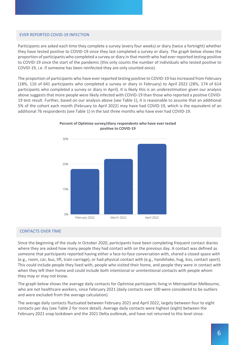#### EVER REPORTED COVID-19 INFECTION

Participants are asked each time they complete a survey (every four weeks) or diary (twice a fortnight) whether they have tested positive to COVID-19 since they last completed a survey or diary. The graph below shows the proportion of participants who completed a survey or diary in that month who had ever reported testing positive to COVID-19 since the start of the pandemic (this only counts the number of individuals who tested positive to COVID-19, i.e. if someone has been reinfected they are only counted once).

The proportion of participants who have ever reported testing positive to COVID-19 has increased from February (18%, 116 of 641 participants who completed a survey or diary in February) to April 2022 (28%, 174 of 614 participants who completed a survey or diary in April). It is likely this is an underestimation given our analysis above suggests that more people were likely infected with COVID-19 than those who reported a positive COVID-19 test result. Further, based on our analysis above (see Table 1), it is reasonable to assume that an additional 5% of the cohort each month (February to April 2022) may have had COVID-19, which is the equivalent of an additional 76 respondents (see Table 1) in the last three months who have ever had COVID-19.



#### **Percent of Optimise survey/diary respondents who have ever tested positive to COVID-19**

#### CONTACTS OVER TIME

Since the beginning of the study in October 2020, participants have been completing frequent contact diaries where they are asked how many people they had contact with on the previous day. A contact was defined as someone that participants reported having either a face-to-face conversation with, shared a closed space with (e.g., room, car, bus, lift, train carriage), or had physical contact with (e.g., handshake, hug, kiss, contact sport). This could include people they lived with, people who visited their home, and people they were in contact with when they left their home and could include both intentional or unintentional contacts with people whom they may or may not know.

The graph below shows the average daily contacts for Optimise participants living in Metropolitan Melbourne, who are not healthcare workers, since February 2021 (daily contacts over 100 were considered to be outliers and were excluded from the average calculation).

The average daily contacts fluctuated between February 2021 and April 2022, largely between four to eight contacts per day (see Table 2 for more detail). Average daily contacts were highest (eight) between the February 2021 snap lockdown and the 2021 Delta outbreak, and have not returned to this level since.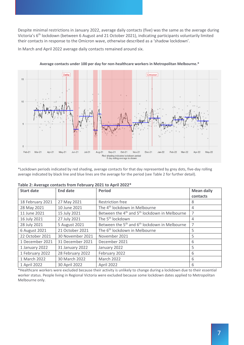Despite minimal restrictions in January 2022, average daily contacts (five) was the same as the average during Victoria's 6th lockdown (between 6 August and 21 October 2021), indicating participants voluntarily limited their contacts in response to the Omicron wave, otherwise described as a 'shadow lockdown'.

In March and April 2022 average daily contacts remained around six.



**Average contacts under 100 per day for non-healthcare workers in Metropolitan Melbourne.\***

\*Lockdown periods indicated by red shading, average contacts for that day represented by grey dots, five-day rolling average indicated by black line and blue lines are the average for the period (see Table 2 for further detail).

| <b>Start date</b> | <b>End date</b>  | <b>Period</b>                                                         | <b>Mean daily</b> |
|-------------------|------------------|-----------------------------------------------------------------------|-------------------|
|                   |                  |                                                                       | contacts          |
| 18 February 2021  | 27 May 2021      | <b>Restriction free</b>                                               | 8                 |
| 28 May 2021       | 10 June 2021     | The 4 <sup>th</sup> lockdown in Melbourne                             | 4                 |
| 11 June 2021      | 15 July 2021     | Between the 4 <sup>th</sup> and 5 <sup>th</sup> lockdown in Melbourne | 7                 |
| 16 July 2021      | 27 July 2021     | The 5 <sup>th</sup> lockdown                                          | 4                 |
| 28 July 2021      | 5 August 2021    | Between the 5 <sup>th</sup> and 6 <sup>th</sup> lockdown in Melbourne | 7                 |
| 6 August 2021     | 21 October 2021  | The 6 <sup>th</sup> lockdown in Melbourne                             | 5                 |
| 22 October 2021   | 30 November 2021 | November 2021                                                         | 5                 |
| 1 December 2021   | 31 December 2021 | December 2021                                                         | 6                 |
| 1 January 2022    | 31 January 2022  | January 2022                                                          | 5                 |
| 1 February 2022   | 28 February 2022 | February 2022                                                         | 6                 |
| 1 March 2022      | 30 March 2022    | March 2022                                                            | 6                 |
| 1 April 2022      | 30 April 2022    | April 2022                                                            | 6                 |

| Table 2: Average contacts from February 2021 to April 2022* |  |  |  |  |  |  |
|-------------------------------------------------------------|--|--|--|--|--|--|
|-------------------------------------------------------------|--|--|--|--|--|--|

\*Healthcare workers were excluded because their activity is unlikely to change during a lockdown due to their essential worker status. People living in Regional Victoria were excluded because some lockdown dates applied to Metropolitan Melbourne only.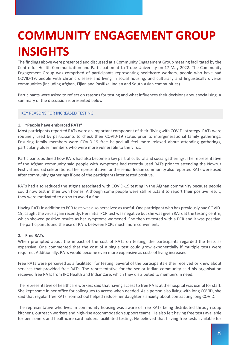# **COMMUNITY ENGAGEMENT GROUP INSIGHTS**

The findings above were presented and discussed at a Community Engagement Group meeting facilitated by the Centre for Health Communication and Participation at La Trobe University on 17 May 2022. The Community Engagement Group was comprised of participants representing healthcare workers, people who have had COVID-19, people with chronic disease and living in social housing, and culturally and linguistically diverse communities (including Afghan, Fijian and Pasifika, Indian and South Asian communities).

Participants were asked to reflect on reasons for testing and what influences their decisions about socialising. A summary of the discussion is presented below.

#### KEY REASONS FOR INCREASED TESTING

#### **1. "People have embraced RATs"**

Most participants reported RATs were an important component of their "living with COVID" strategy. RATs were routinely used by participants to check their COVID-19 status prior to intergenerational family gatherings. Ensuring family members were COVID-19 free helped all feel more relaxed about attending gatherings, particularly older members who were more vulnerable to the virus.

Participants outlined how RATs had also become a key part of cultural and social gatherings. The representative of the Afghan community said people with symptoms had recently used RATs prior to attending the Nowruz Festival and Eid celebrations. The representative for the senior Indian community also reported RATs were used after community gatherings if one of the participants later tested positive.

RATs had also reduced the stigma associated with COVID-19 testing in the Afghan community because people could now test in their own homes. Although some people were still reluctant to report their positive result, they were motivated to do so to avoid a fine.

Having RATs in addition to PCR tests was also perceived as useful. One participant who has previously had COVID-19, caught the virus again recently. Her initial PCR test was negative but she was given RATs at the testing centre, which showed positive results as her symptoms worsened. She then re-tested with a PCR and it was positive. The participant found the use of RATs between PCRs much more convenient.

#### **2. Free RATs**

When prompted about the impact of the cost of RATs on testing, the participants regarded the tests as expensive. One commented that the cost of a single test could grow exponentially if multiple tests were required. Additionally, RATs would become even more expensive as costs of living increased.

Free RATs were perceived as a facilitator for testing. Several of the participants either received or knew about services that provided free RATs. The representative for the senior Indian community said his organisation received free RATs from IPC Health and IndianCare, which they distributed to members in need.

The representative of healthcare workers said that having access to free RATs at the hospital was useful for staff. She kept some in her office for colleagues to access when needed. As a person also living with long COVID, she said that regular free RATs from school helped reduce her daughter's anxiety about contracting long COVID.

The representative who lives in community housing was aware of free RATs being distributed through soup kitchens, outreach workers and high-rise accommodation support teams. He also felt having free tests available for pensioners and healthcare card holders facilitated testing. He believed that having free tests available for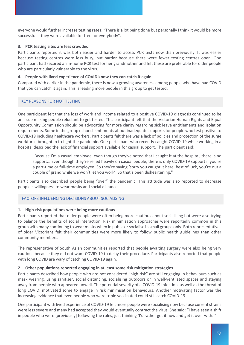everyone would further increase testing rates: "There is a lot being done but personally I think it would be more successful if they were available for free for everybody".

#### **3. PCR testing sites are less crowded**

Participants reported it was both easier and harder to access PCR tests now than previously. It was easier because testing centres were less busy, but harder because there were fewer testing centres open. One participant had secured an in-home PCR test for her grandmother and felt these are preferable for older people who are particularly vulnerable to the virus.

#### **4. People with lived experience of COVID know they can catch it again**

Compared with earlier in the pandemic, there is now a growing awareness among people who have had COVID that you can catch it again. This is leading more people in this group to get tested.

#### KEY REASONS FOR NOT TESTING

One participant felt that the loss of work and income related to a positive COVID-19 diagnosis continued to be an issue making people reluctant to get tested. This participant felt that the Victorian Human Rights and Equal Opportunity Commission should be advocating for more clarity regarding sick leave entitlements and isolation requirements. Some in the group echoed sentiments about inadequate supports for people who test positive to COVID-19 including healthcare workers. Participants felt there was a lack of policies and protection of the surge workforce brought in to fight the pandemic. One participant who recently caught COVID-19 while working in a hospital described the lack of financial support available for casual support. The participant said:

"Because I'm a casual employee, even though they've noted that I caught it at the hospital, there is no support... Even though they're relied heavily on casual people, there is only COVID-19 support if you're a part-time or full-time employee. So they're saying 'sorry you caught it here, best of luck, you're out a couple of grand while we won't let you work'. So that's been disheartening."

Participants also described people being "over" the pandemic. This attitude was also reported to decrease people's willingness to wear masks and social distance.

#### FACTORS INFLUENCING DECISIONS ABOUT SOCIALISING

#### **1. High-risk populations were being more cautious**

Participants reported that older people were often being more cautious about socialising but were also trying to balance the benefits of social interaction. Risk minimisation approaches were reportedly common in this group with many continuing to wear masks when in public or socialise in small groups only. Both representatives of older Victorians felt their communities were more likely to follow public health guidelines than other community members.

The representative of South Asian communities reported that people awaiting surgery were also being very cautious because they did not want COVID-19 to delay their procedure. Participants also reported that people with long COVID are wary of catching COVID-19 again.

#### **2. Other populations reported engaging in at least some risk mitigation strategies**

Participants described how people who are not considered "high risk" are still engaging in behaviours such as mask wearing, using sanitiser, social distancing, socialising outdoors or in well-ventilated spaces and staying away from people who appeared unwell. The potential severity of a COVID-19 infection, as well as the threat of long COVID, motivated some to engage in risk minimisation behaviours. Another motivating factor was the increasing evidence that even people who were triple vaccinated could still catch COVID-19.

One participant with lived experience of COVID-19 felt more people were socialising now because current strains were less severe and many had accepted they would eventually contract the virus. She said: "I have seen a shift in people who were [previously] following the rules, just thinking 'I'd rather get it now and get it over with.""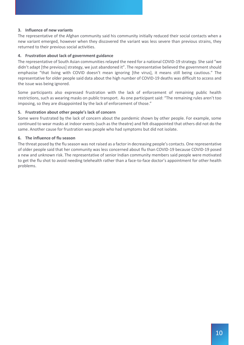#### **3. Influence of new variants**

The representative of the Afghan community said his community initially reduced their social contacts when a new variant emerged, however when they discovered the variant was less severe than previous strains, they returned to their previous social activities.

#### **4. Frustration about lack of government guidance**

The representative of South Asian communities relayed the need for a national COVID-19 strategy. She said "we didn't adapt [the previous] strategy, we just abandoned it". The representative believed the government should emphasise "that living with COVID doesn't mean ignoring [the virus], it means still being cautious." The representative for older people said data about the high number of COVID-19 deaths was difficult to access and the issue was being ignored.

Some participants also expressed frustration with the lack of enforcement of remaining public health restrictions, such as wearing masks on public transport. As one participant said: "The remaining rules aren't too imposing, so they are disappointed by the lack of enforcement of those."

#### **5. Frustration about other people's lack of concern**

Some were frustrated by the lack of concern about the pandemic shown by other people. For example, some continued to wear masks at indoor events (such as the theatre) and felt disappointed that others did not do the same. Another cause for frustration was people who had symptoms but did not isolate.

#### **6. The influence of flu season**

The threat posed by the flu season was not raised as a factor in decreasing people's contacts. One representative of older people said that her community was less concerned about flu than COVID-19 because COVID-19 posed a new and unknown risk. The representative of senior Indian community members said people were motivated to get the flu shot to avoid needing telehealth rather than a face-to-face doctor's appointment for other health problems.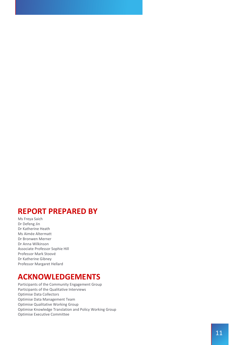### **REPORT PREPARED BY**

Ms Freya Saich Dr Defeng Jin Dr Katherine Heath Ms Aim ée Altermatt Dr Bronwen Merner Dr Anna Wilkinson Associate Professor Sophie Hill Professor Mark Stoov é Dr Katherine Gibney Professor Margaret Hellard

## **ACKNOWLEDGEMENTS**

Participants of the Community Engagement Group Participants of the Qualitative Interviews Optimise Data Collectors Optimise Data Management Team Optimise Qualitative Working Group Optimise Knowledge Translation and Policy Working Group Optimise Executive Committee